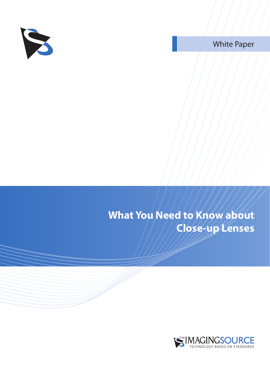

White Paper

### **What You Need to Know about Close-up Lenses**

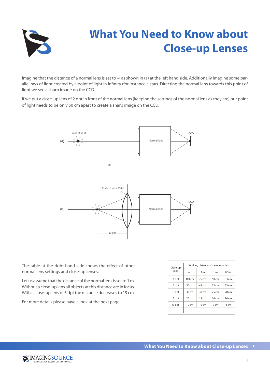

# **What You Need to Know about Close-up Lenses**

Imagine that the distance of a normal lens is set to ∞ as shown in (a) at the left hand side. Additionally imagine some parallel rays of light created by a point of light in infinity (for instance a star). Directing the normal lens towards this point of light we see a sharp image on the CCD.

If we put a close-up lens of 2 dpt in front of the normal lens (keeping the settings of the normal lens as they are) our point of light needs to be only 50 cm apart to create a sharp image on the CCD.



The table at the right hand side shows the effect of other normal lens settings and close-up lenses.

Let us assume that the distance of the normal lens is set to 1 m. Without a close-up lens all objects at this distance are in focus. With a close-up lens of 5 dpt the distance decreases to 19 cm.

For more details please have a look at the next page.

| Close-up<br>lens | Working distance of the normal lens |                  |                  |                  |
|------------------|-------------------------------------|------------------|------------------|------------------|
|                  | $\infty$                            | 3 <sub>m</sub>   | 1 <sub>m</sub>   | 0.5 <sub>m</sub> |
| 1 dpt            | $100 \text{ cm}$                    | 75 cm            | $50 \text{ cm}$  | $33 \text{ cm}$  |
| 2 dpt            | 50 cm                               | 43 cm            | 33 <sub>cm</sub> | $25 \text{ cm}$  |
| 3 dpt            | $33 \text{ cm}$                     | $30 \text{ cm}$  | 25cm             | $20 \text{ cm}$  |
| 5 dpt            | $20 \text{ cm}$                     | 19 <sub>cm</sub> | 16cm             | 14 cm            |
| 10 dpt           | $10 \text{ cm}$                     | $10 \text{ cm}$  | 9 <sub>cm</sub>  | 8 cm             |
|                  |                                     |                  |                  |                  |

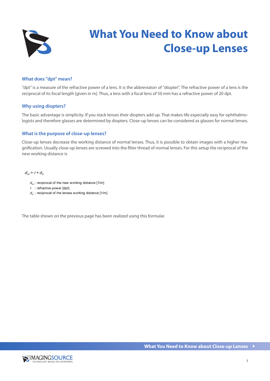

# **What You Need to Know about Close-up Lenses**

### **What does "dpt" mean?**

"dpt" is a measure of the refractive power of a lens. It is the abbreviaton of "diopter". The refractive power of a lens is the reciprocal of its focal length [given in m]. Thus, a lens with a focal lens of 50 mm has a refractive power of 20 dpt.

#### **Why using diopters?**

The basic advantage is simplicity. If you stack lenses their diopters add up. That makes life especially easy for ophthalmologists and therefore glasses are determined by diopters. Close-up lenses can be considered as glasses for normal lenses.

#### **What is the purpose of close-up lenses?**

Close-up lenses decrease the working distance of normal lenses. Thus, it is possible to obtain images with a higher magnification. Usually close-up lenses are screwed into the filter thread of normal lenses. For this setup the reciprocal of the new working distance is

 $d_m = r + d_{r}$ 

- $d_m$ : reciprocal of the new working distance [1/m]
- $r$  : refractive power [dpt]
- $d_{\rm d}$ : reciprocal of the lenses working distance [1/m]

The table shown on the previous page has been realized using this formular.